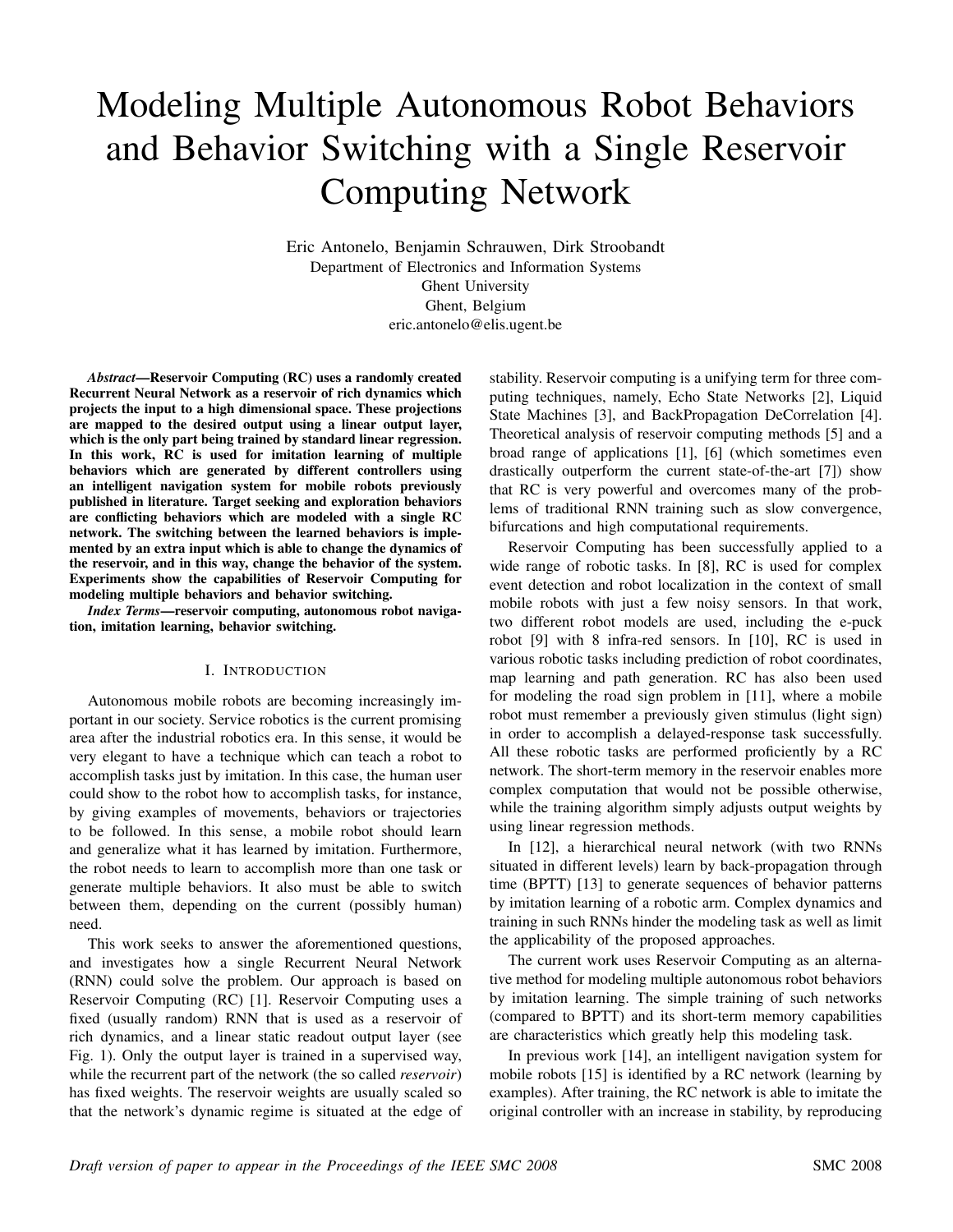# Modeling Multiple Autonomous Robot Behaviors and Behavior Switching with a Single Reservoir Computing Network

Eric Antonelo, Benjamin Schrauwen, Dirk Stroobandt Department of Electronics and Information Systems Ghent University Ghent, Belgium eric.antonelo@elis.ugent.be

*Abstract***—Reservoir Computing (RC) uses a randomly created Recurrent Neural Network as a reservoir of rich dynamics which projects the input to a high dimensional space. These projections are mapped to the desired output using a linear output layer, which is the only part being trained by standard linear regression. In this work, RC is used for imitation learning of multiple behaviors which are generated by different controllers using an intelligent navigation system for mobile robots previously published in literature. Target seeking and exploration behaviors are conflicting behaviors which are modeled with a single RC network. The switching between the learned behaviors is implemented by an extra input which is able to change the dynamics of the reservoir, and in this way, change the behavior of the system. Experiments show the capabilities of Reservoir Computing for modeling multiple behaviors and behavior switching.**

*Index Terms***—reservoir computing, autonomous robot navigation, imitation learning, behavior switching.**

# I. INTRODUCTION

Autonomous mobile robots are becoming increasingly important in our society. Service robotics is the current promising area after the industrial robotics era. In this sense, it would be very elegant to have a technique which can teach a robot to accomplish tasks just by imitation. In this case, the human user could show to the robot how to accomplish tasks, for instance, by giving examples of movements, behaviors or trajectories to be followed. In this sense, a mobile robot should learn and generalize what it has learned by imitation. Furthermore, the robot needs to learn to accomplish more than one task or generate multiple behaviors. It also must be able to switch between them, depending on the current (possibly human) need.

This work seeks to answer the aforementioned questions, and investigates how a single Recurrent Neural Network (RNN) could solve the problem. Our approach is based on Reservoir Computing (RC) [1]. Reservoir Computing uses a fixed (usually random) RNN that is used as a reservoir of rich dynamics, and a linear static readout output layer (see Fig. 1). Only the output layer is trained in a supervised way, while the recurrent part of the network (the so called *reservoir*) has fixed weights. The reservoir weights are usually scaled so that the network's dynamic regime is situated at the edge of stability. Reservoir computing is a unifying term for three computing techniques, namely, Echo State Networks [2], Liquid State Machines [3], and BackPropagation DeCorrelation [4]. Theoretical analysis of reservoir computing methods [5] and a broad range of applications [1], [6] (which sometimes even drastically outperform the current state-of-the-art [7]) show that RC is very powerful and overcomes many of the problems of traditional RNN training such as slow convergence, bifurcations and high computational requirements.

Reservoir Computing has been successfully applied to a wide range of robotic tasks. In [8], RC is used for complex event detection and robot localization in the context of small mobile robots with just a few noisy sensors. In that work, two different robot models are used, including the e-puck robot [9] with 8 infra-red sensors. In [10], RC is used in various robotic tasks including prediction of robot coordinates, map learning and path generation. RC has also been used for modeling the road sign problem in [11], where a mobile robot must remember a previously given stimulus (light sign) in order to accomplish a delayed-response task successfully. All these robotic tasks are performed proficiently by a RC network. The short-term memory in the reservoir enables more complex computation that would not be possible otherwise, while the training algorithm simply adjusts output weights by using linear regression methods.

In [12], a hierarchical neural network (with two RNNs situated in different levels) learn by back-propagation through time (BPTT) [13] to generate sequences of behavior patterns by imitation learning of a robotic arm. Complex dynamics and training in such RNNs hinder the modeling task as well as limit the applicability of the proposed approaches.

The current work uses Reservoir Computing as an alternative method for modeling multiple autonomous robot behaviors by imitation learning. The simple training of such networks (compared to BPTT) and its short-term memory capabilities are characteristics which greatly help this modeling task.

In previous work [14], an intelligent navigation system for mobile robots [15] is identified by a RC network (learning by examples). After training, the RC network is able to imitate the original controller with an increase in stability, by reproducing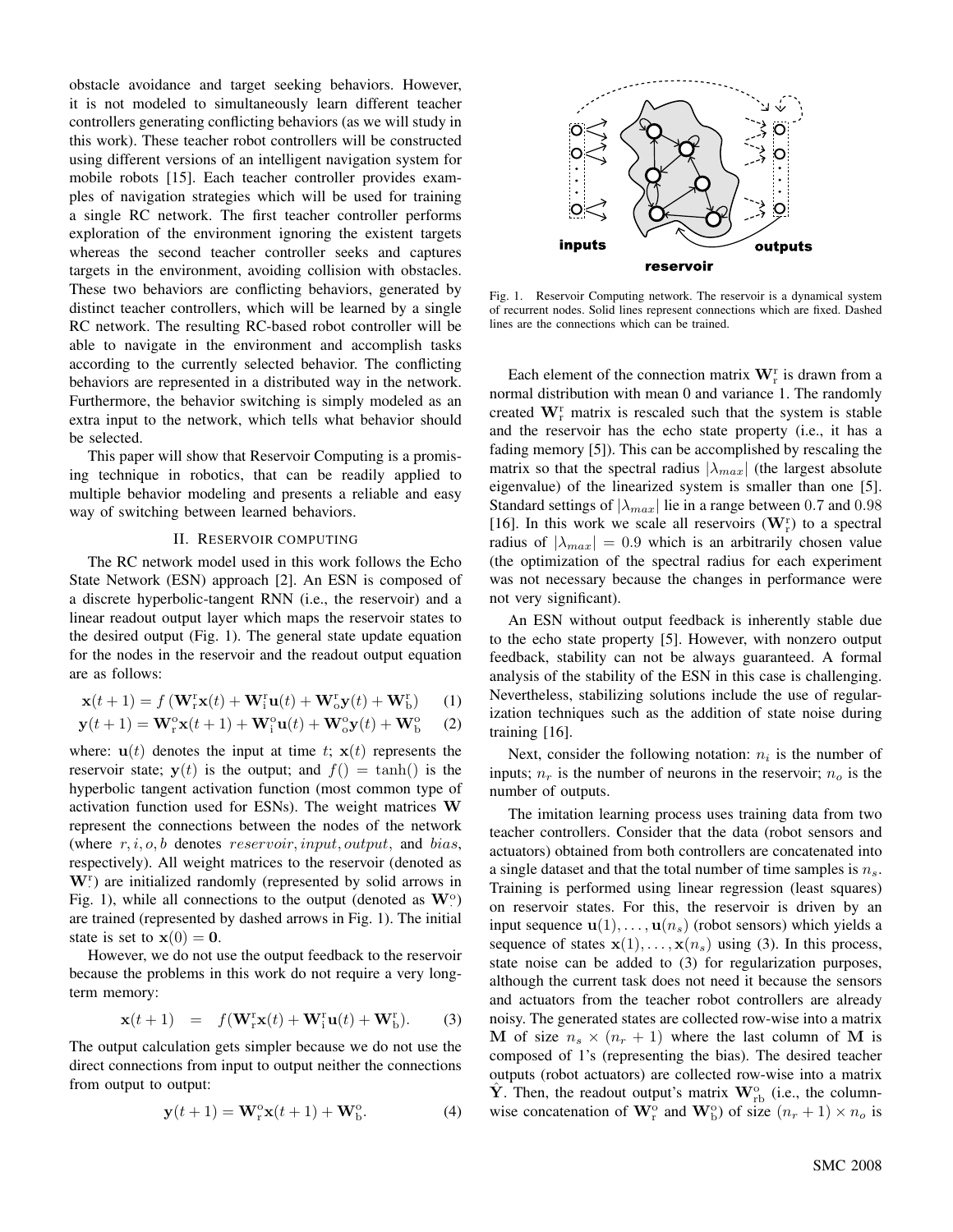obstacle avoidance and target seeking behaviors. However, it is not modeled to simultaneously learn different teacher controllers generating conflicting behaviors (as we will study in this work). These teacher robot controllers will be constructed using different versions of an intelligent navigation system for mobile robots [15]. Each teacher controller provides examples of navigation strategies which will be used for training a single RC network. The first teacher controller performs exploration of the environment ignoring the existent targets whereas the second teacher controller seeks and captures targets in the environment, avoiding collision with obstacles. These two behaviors are conflicting behaviors, generated by distinct teacher controllers, which will be learned by a single RC network. The resulting RC-based robot controller will be able to navigate in the environment and accomplish tasks according to the currently selected behavior. The conflicting behaviors are represented in a distributed way in the network. Furthermore, the behavior switching is simply modeled as an extra input to the network, which tells what behavior should be selected.

This paper will show that Reservoir Computing is a promising technique in robotics, that can be readily applied to multiple behavior modeling and presents a reliable and easy way of switching between learned behaviors.

# II. RESERVOIR COMPUTING

The RC network model used in this work follows the Echo State Network (ESN) approach [2]. An ESN is composed of a discrete hyperbolic-tangent RNN (i.e., the reservoir) and a linear readout output layer which maps the reservoir states to the desired output (Fig. 1). The general state update equation for the nodes in the reservoir and the readout output equation are as follows:

$$
\mathbf{x}(t+1) = f\left(\mathbf{W}_{\mathrm{r}}^{\mathrm{r}}\mathbf{x}(t) + \mathbf{W}_{\mathrm{i}}^{\mathrm{r}}\mathbf{u}(t) + \mathbf{W}_{\mathrm{o}}^{\mathrm{r}}\mathbf{y}(t) + \mathbf{W}_{\mathrm{b}}^{\mathrm{r}}\right) \tag{1}
$$

$$
\mathbf{y}(t+1) = \mathbf{W}_{r}^{\mathrm{o}}\mathbf{x}(t+1) + \mathbf{W}_{i}^{\mathrm{o}}\mathbf{u}(t) + \mathbf{W}_{\mathrm{o}}^{\mathrm{o}}\mathbf{y}(t) + \mathbf{W}_{\mathrm{b}}^{\mathrm{o}} \quad (2)
$$

where:  $\mathbf{u}(t)$  denotes the input at time t;  $\mathbf{x}(t)$  represents the reservoir state;  $y(t)$  is the output; and  $f() = \tanh()$  is the hyperbolic tangent activation function (most common type of activation function used for ESNs). The weight matrices W represent the connections between the nodes of the network (where  $r, i, o, b$  denotes reservoir, input, output, and bias, respectively). All weight matrices to the reservoir (denoted as  $W<sup>r</sup>$ ) are initialized randomly (represented by solid arrows in Fig. 1), while all connections to the output (denoted as  $W_1^{\circ}$ ) are trained (represented by dashed arrows in Fig. 1). The initial state is set to  $\mathbf{x}(0) = \mathbf{0}$ .

However, we do not use the output feedback to the reservoir because the problems in this work do not require a very longterm memory:

$$
\mathbf{x}(t+1) = f(\mathbf{W}_{r}^{r}\mathbf{x}(t) + \mathbf{W}_{i}^{r}\mathbf{u}(t) + \mathbf{W}_{b}^{r}).
$$
 (3)

The output calculation gets simpler because we do not use the direct connections from input to output neither the connections from output to output:

$$
\mathbf{y}(t+1) = \mathbf{W}_{\mathrm{r}}^{\mathrm{o}} \mathbf{x}(t+1) + \mathbf{W}_{\mathrm{b}}^{\mathrm{o}}.
$$
 (4)



Fig. 1. Reservoir Computing network. The reservoir is a dynamical system of recurrent nodes. Solid lines represent connections which are fixed. Dashed lines are the connections which can be trained.

Each element of the connection matrix  $W_r^r$  is drawn from a normal distribution with mean 0 and variance 1. The randomly created  $W_{r}^{r}$  matrix is rescaled such that the system is stable and the reservoir has the echo state property (i.e., it has a fading memory [5]). This can be accomplished by rescaling the matrix so that the spectral radius  $|\lambda_{max}|$  (the largest absolute eigenvalue) of the linearized system is smaller than one [5]. Standard settings of  $|\lambda_{max}|$  lie in a range between 0.7 and 0.98 [16]. In this work we scale all reservoirs  $(\mathbf{W}_{r}^{r})$  to a spectral radius of  $|\lambda_{max}| = 0.9$  which is an arbitrarily chosen value (the optimization of the spectral radius for each experiment was not necessary because the changes in performance were not very significant).

An ESN without output feedback is inherently stable due to the echo state property [5]. However, with nonzero output feedback, stability can not be always guaranteed. A formal analysis of the stability of the ESN in this case is challenging. Nevertheless, stabilizing solutions include the use of regularization techniques such as the addition of state noise during training [16].

Next, consider the following notation:  $n_i$  is the number of inputs;  $n_r$  is the number of neurons in the reservoir;  $n_o$  is the number of outputs.

The imitation learning process uses training data from two teacher controllers. Consider that the data (robot sensors and actuators) obtained from both controllers are concatenated into a single dataset and that the total number of time samples is  $n<sub>s</sub>$ . Training is performed using linear regression (least squares) on reservoir states. For this, the reservoir is driven by an input sequence  $\mathbf{u}(1), \ldots, \mathbf{u}(n_s)$  (robot sensors) which yields a sequence of states  $x(1),...,x(n_s)$  using (3). In this process, state noise can be added to (3) for regularization purposes, although the current task does not need it because the sensors and actuators from the teacher robot controllers are already noisy. The generated states are collected row-wise into a matrix M of size  $n_s \times (n_r + 1)$  where the last column of M is composed of 1's (representing the bias). The desired teacher outputs (robot actuators) are collected row-wise into a matrix  $\hat{\mathbf{Y}}$ . Then, the readout output's matrix  $\mathbf{W}_{\text{rb}}^{\text{o}}$  (i.e., the columnwise concatenation of  $\mathbf{W}_{r}^{\circ}$  and  $\mathbf{W}_{b}^{\circ}$ ) of size  $(n_r + 1) \times n_o$  is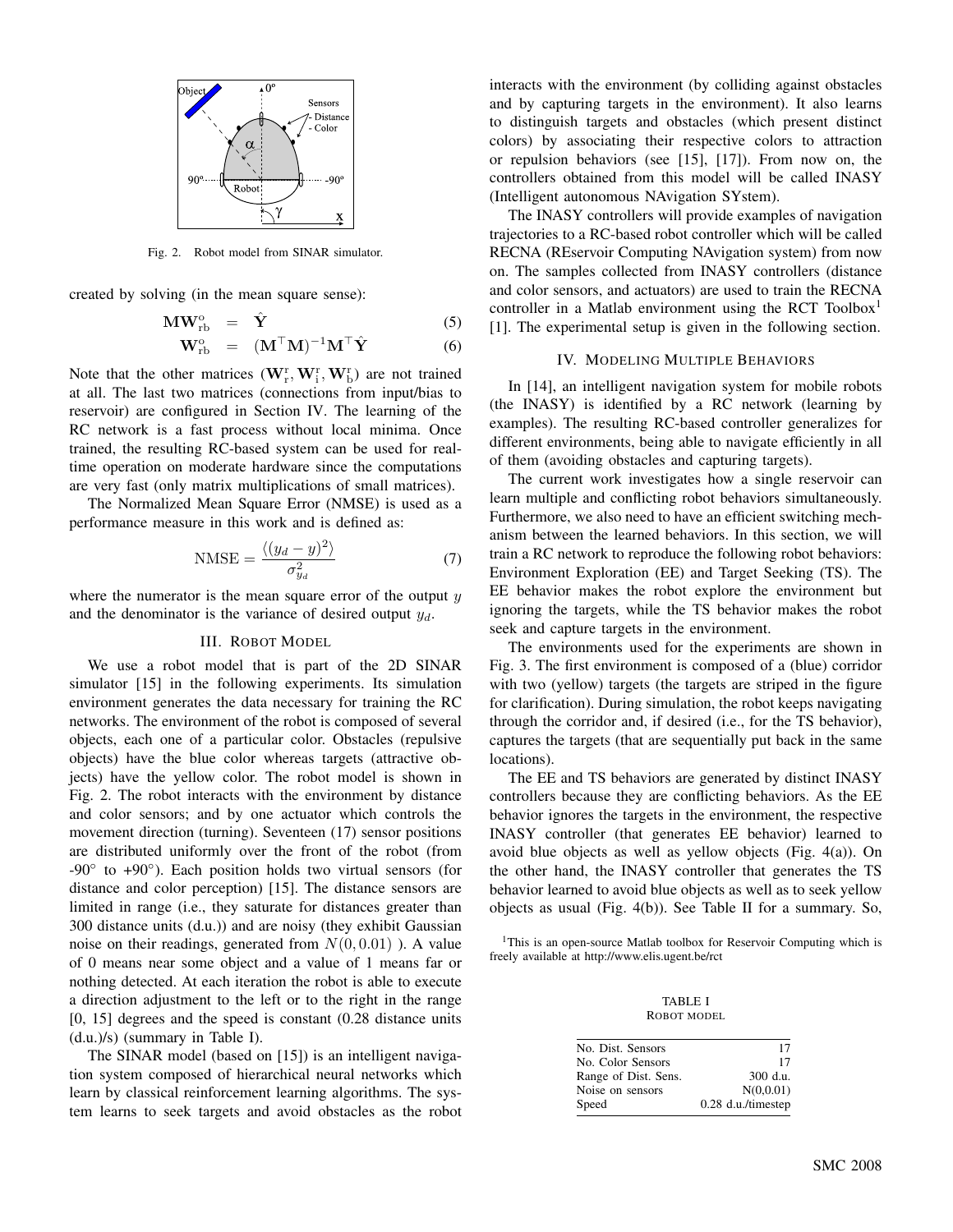

Fig. 2. Robot model from SINAR simulator.

created by solving (in the mean square sense):

$$
\mathbf{MW}_{\mathrm{rb}}^{\mathrm{o}} = \hat{\mathbf{Y}} \tag{5}
$$

$$
\mathbf{W}_{\rm rb}^{\rm o} = (\mathbf{M}^\top \mathbf{M})^{-1} \mathbf{M}^\top \hat{\mathbf{Y}} \tag{6}
$$

Note that the other matrices  $(\mathbf{W}_{r}^{r}, \mathbf{W}_{i}^{r}, \mathbf{W}_{b}^{r})$  are not trained at all. The last two matrices (connections from input/bias to reservoir) are configured in Section IV. The learning of the RC network is a fast process without local minima. Once trained, the resulting RC-based system can be used for realtime operation on moderate hardware since the computations are very fast (only matrix multiplications of small matrices).

The Normalized Mean Square Error (NMSE) is used as a performance measure in this work and is defined as:

$$
\text{NMSE} = \frac{\langle (y_d - y)^2 \rangle}{\sigma_{y_d}^2} \tag{7}
$$

where the numerator is the mean square error of the output  $y$ and the denominator is the variance of desired output  $y_d$ .

## III. ROBOT MODEL

We use a robot model that is part of the 2D SINAR simulator [15] in the following experiments. Its simulation environment generates the data necessary for training the RC networks. The environment of the robot is composed of several objects, each one of a particular color. Obstacles (repulsive objects) have the blue color whereas targets (attractive objects) have the yellow color. The robot model is shown in Fig. 2. The robot interacts with the environment by distance and color sensors; and by one actuator which controls the movement direction (turning). Seventeen (17) sensor positions are distributed uniformly over the front of the robot (from -90◦ to +90◦ ). Each position holds two virtual sensors (for distance and color perception) [15]. The distance sensors are limited in range (i.e., they saturate for distances greater than 300 distance units (d.u.)) and are noisy (they exhibit Gaussian noise on their readings, generated from  $N(0, 0.01)$ ). A value of 0 means near some object and a value of 1 means far or nothing detected. At each iteration the robot is able to execute a direction adjustment to the left or to the right in the range [0, 15] degrees and the speed is constant (0.28 distance units (d.u.)/s) (summary in Table I).

The SINAR model (based on [15]) is an intelligent navigation system composed of hierarchical neural networks which learn by classical reinforcement learning algorithms. The system learns to seek targets and avoid obstacles as the robot interacts with the environment (by colliding against obstacles and by capturing targets in the environment). It also learns to distinguish targets and obstacles (which present distinct colors) by associating their respective colors to attraction or repulsion behaviors (see [15], [17]). From now on, the controllers obtained from this model will be called INASY (Intelligent autonomous NAvigation SYstem).

The INASY controllers will provide examples of navigation trajectories to a RC-based robot controller which will be called RECNA (REservoir Computing NAvigation system) from now on. The samples collected from INASY controllers (distance and color sensors, and actuators) are used to train the RECNA controller in a Matlab environment using the RCT Toolbox<sup>1</sup> [1]. The experimental setup is given in the following section.

#### IV. MODELING MULTIPLE BEHAVIORS

In [14], an intelligent navigation system for mobile robots (the INASY) is identified by a RC network (learning by examples). The resulting RC-based controller generalizes for different environments, being able to navigate efficiently in all of them (avoiding obstacles and capturing targets).

The current work investigates how a single reservoir can learn multiple and conflicting robot behaviors simultaneously. Furthermore, we also need to have an efficient switching mechanism between the learned behaviors. In this section, we will train a RC network to reproduce the following robot behaviors: Environment Exploration (EE) and Target Seeking (TS). The EE behavior makes the robot explore the environment but ignoring the targets, while the TS behavior makes the robot seek and capture targets in the environment.

The environments used for the experiments are shown in Fig. 3. The first environment is composed of a (blue) corridor with two (yellow) targets (the targets are striped in the figure for clarification). During simulation, the robot keeps navigating through the corridor and, if desired (i.e., for the TS behavior), captures the targets (that are sequentially put back in the same locations).

The EE and TS behaviors are generated by distinct INASY controllers because they are conflicting behaviors. As the EE behavior ignores the targets in the environment, the respective INASY controller (that generates EE behavior) learned to avoid blue objects as well as yellow objects (Fig. 4(a)). On the other hand, the INASY controller that generates the TS behavior learned to avoid blue objects as well as to seek yellow objects as usual (Fig. 4(b)). See Table II for a summary. So,

<sup>1</sup>This is an open-source Matlab toolbox for Reservoir Computing which is freely available at http://www.elis.ugent.be/rct

TABLE I ROBOT MODEL

| No. Dist. Sensors    | 17                 |
|----------------------|--------------------|
| No. Color Sensors    | 17                 |
| Range of Dist. Sens. | 300 d.u.           |
| Noise on sensors     | N(0,0.01)          |
| Speed                | 0.28 d.u./timestep |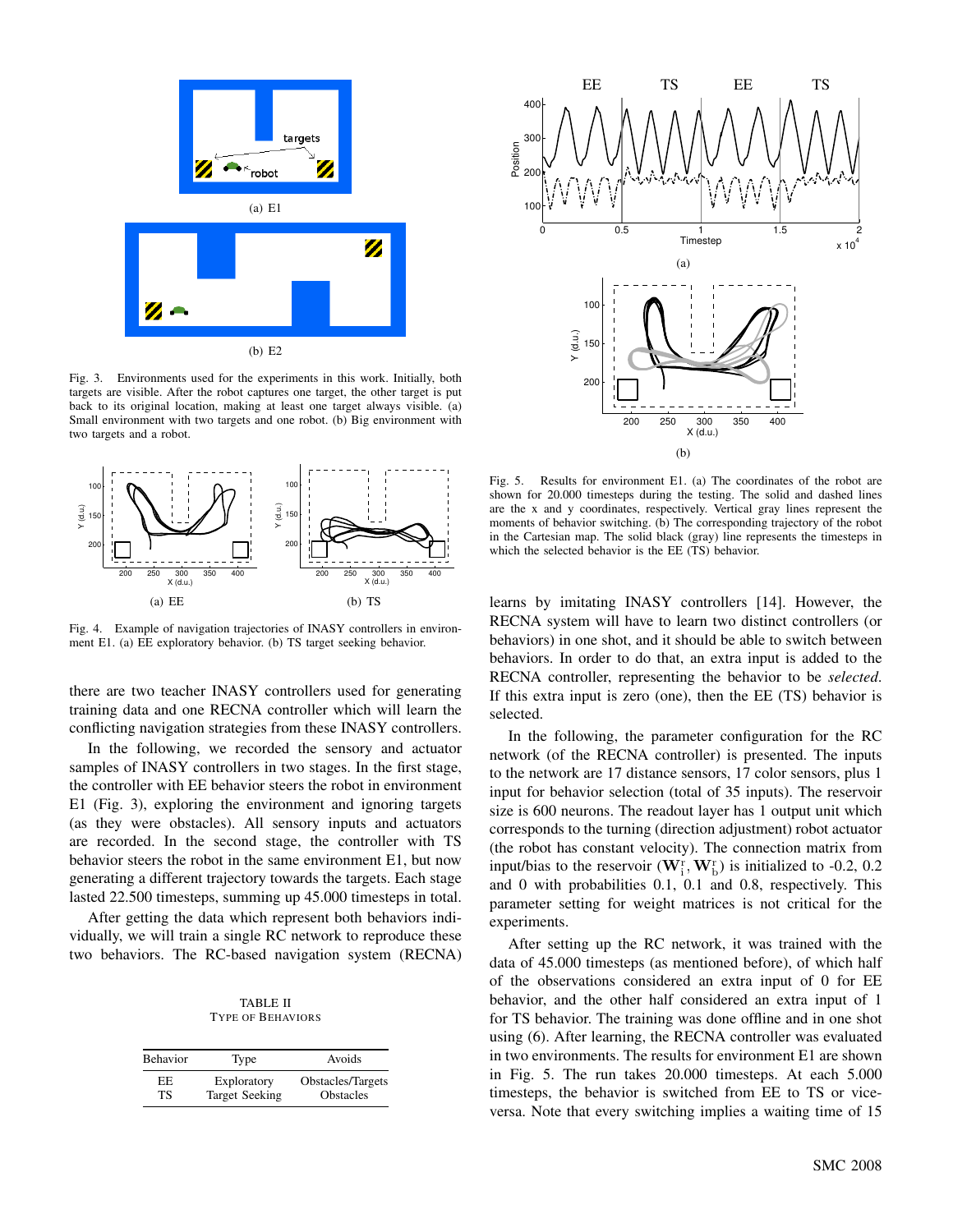

Fig. 3. Environments used for the experiments in this work. Initially, both targets are visible. After the robot captures one target, the other target is put back to its original location, making at least one target always visible. (a) Small environment with two targets and one robot. (b) Big environment with two targets and a robot.



Fig. 4. Example of navigation trajectories of INASY controllers in environment E1. (a) EE exploratory behavior. (b) TS target seeking behavior.

there are two teacher INASY controllers used for generating training data and one RECNA controller which will learn the conflicting navigation strategies from these INASY controllers.

In the following, we recorded the sensory and actuator samples of INASY controllers in two stages. In the first stage, the controller with EE behavior steers the robot in environment E1 (Fig. 3), exploring the environment and ignoring targets (as they were obstacles). All sensory inputs and actuators are recorded. In the second stage, the controller with TS behavior steers the robot in the same environment E1, but now generating a different trajectory towards the targets. Each stage lasted 22.500 timesteps, summing up 45.000 timesteps in total.

After getting the data which represent both behaviors individually, we will train a single RC network to reproduce these two behaviors. The RC-based navigation system (RECNA)

TABLE II TYPE OF BEHAVIORS

| Behavior<br>Type |                       | Avoids            |  |  |
|------------------|-----------------------|-------------------|--|--|
| FF.              | Exploratory           | Obstacles/Targets |  |  |
| TS               | <b>Target Seeking</b> | <b>Obstacles</b>  |  |  |



Fig. 5. Results for environment E1. (a) The coordinates of the robot are shown for 20.000 timesteps during the testing. The solid and dashed lines are the x and y coordinates, respectively. Vertical gray lines represent the moments of behavior switching. (b) The corresponding trajectory of the robot in the Cartesian map. The solid black (gray) line represents the timesteps in which the selected behavior is the EE (TS) behavior.

learns by imitating INASY controllers [14]. However, the RECNA system will have to learn two distinct controllers (or behaviors) in one shot, and it should be able to switch between behaviors. In order to do that, an extra input is added to the RECNA controller, representing the behavior to be *selected*. If this extra input is zero (one), then the EE (TS) behavior is selected.

In the following, the parameter configuration for the RC network (of the RECNA controller) is presented. The inputs to the network are 17 distance sensors, 17 color sensors, plus 1 input for behavior selection (total of 35 inputs). The reservoir size is 600 neurons. The readout layer has 1 output unit which corresponds to the turning (direction adjustment) robot actuator (the robot has constant velocity). The connection matrix from input/bias to the reservoir  $(\mathbf{W}_{i}^{r}, \mathbf{W}_{b}^{r})$  is initialized to -0.2, 0.2 and 0 with probabilities 0.1, 0.1 and 0.8, respectively. This parameter setting for weight matrices is not critical for the experiments.

After setting up the RC network, it was trained with the data of 45.000 timesteps (as mentioned before), of which half of the observations considered an extra input of 0 for EE behavior, and the other half considered an extra input of 1 for TS behavior. The training was done offline and in one shot using (6). After learning, the RECNA controller was evaluated in two environments. The results for environment E1 are shown in Fig. 5. The run takes 20.000 timesteps. At each 5.000 timesteps, the behavior is switched from EE to TS or viceversa. Note that every switching implies a waiting time of 15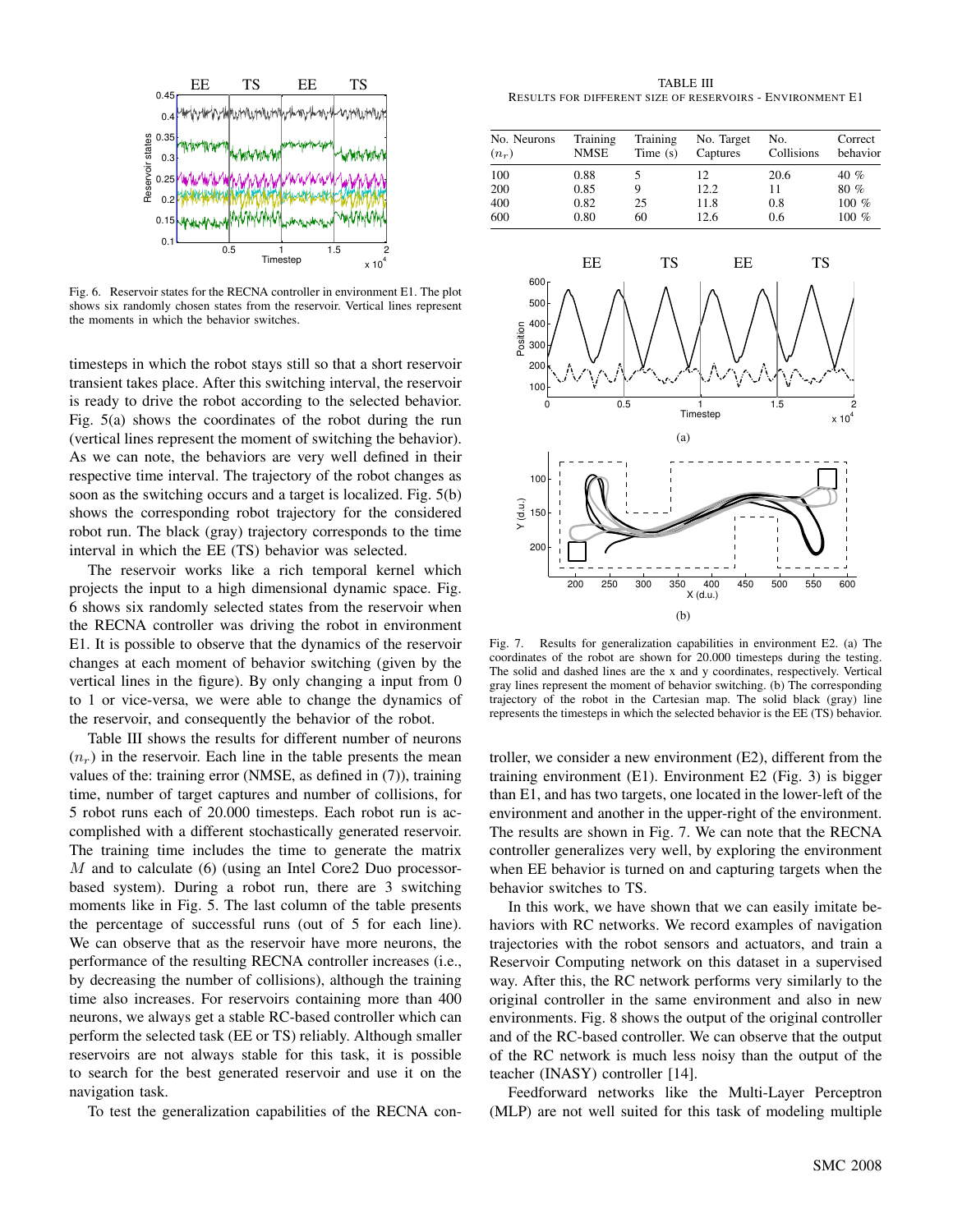

Fig. 6. Reservoir states for the RECNA controller in environment E1. The plot shows six randomly chosen states from the reservoir. Vertical lines represent the moments in which the behavior switches.

timesteps in which the robot stays still so that a short reservoir transient takes place. After this switching interval, the reservoir is ready to drive the robot according to the selected behavior. Fig. 5(a) shows the coordinates of the robot during the run (vertical lines represent the moment of switching the behavior). As we can note, the behaviors are very well defined in their respective time interval. The trajectory of the robot changes as soon as the switching occurs and a target is localized. Fig. 5(b) shows the corresponding robot trajectory for the considered robot run. The black (gray) trajectory corresponds to the time interval in which the EE (TS) behavior was selected.

The reservoir works like a rich temporal kernel which projects the input to a high dimensional dynamic space. Fig. 6 shows six randomly selected states from the reservoir when the RECNA controller was driving the robot in environment E1. It is possible to observe that the dynamics of the reservoir changes at each moment of behavior switching (given by the vertical lines in the figure). By only changing a input from 0 to 1 or vice-versa, we were able to change the dynamics of the reservoir, and consequently the behavior of the robot.

Table III shows the results for different number of neurons  $(n_r)$  in the reservoir. Each line in the table presents the mean values of the: training error (NMSE, as defined in (7)), training time, number of target captures and number of collisions, for 5 robot runs each of 20.000 timesteps. Each robot run is accomplished with a different stochastically generated reservoir. The training time includes the time to generate the matrix M and to calculate (6) (using an Intel Core2 Duo processorbased system). During a robot run, there are 3 switching moments like in Fig. 5. The last column of the table presents the percentage of successful runs (out of 5 for each line). We can observe that as the reservoir have more neurons, the performance of the resulting RECNA controller increases (i.e., by decreasing the number of collisions), although the training time also increases. For reservoirs containing more than 400 neurons, we always get a stable RC-based controller which can perform the selected task (EE or TS) reliably. Although smaller reservoirs are not always stable for this task, it is possible to search for the best generated reservoir and use it on the navigation task.

To test the generalization capabilities of the RECNA con-

TABLE III RESULTS FOR DIFFERENT SIZE OF RESERVOIRS - ENVIRONMENT E1

| No. Neurons<br>$(n_r)$ | Training<br>NMSE | Training<br>Time $(s)$ | No. Target<br>Captures | No.<br>Collisions | Correct<br>behavior |
|------------------------|------------------|------------------------|------------------------|-------------------|---------------------|
| 100                    | 0.88             |                        | 12                     | 20.6              | 40 %                |
| 200                    | 0.85             | Q                      | 12.2                   | 11                | 80 %                |
| 400                    | 0.82             | 25                     | 11.8                   | 0.8               | $100\%$             |
| 600                    | 0.80             | 60                     | 12.6                   | 0.6               | $100\%$             |



Fig. 7. Results for generalization capabilities in environment E2. (a) The coordinates of the robot are shown for 20.000 timesteps during the testing. The solid and dashed lines are the x and y coordinates, respectively. Vertical gray lines represent the moment of behavior switching. (b) The corresponding trajectory of the robot in the Cartesian map. The solid black (gray) line represents the timesteps in which the selected behavior is the EE (TS) behavior.

troller, we consider a new environment (E2), different from the training environment (E1). Environment E2 (Fig. 3) is bigger than E1, and has two targets, one located in the lower-left of the environment and another in the upper-right of the environment. The results are shown in Fig. 7. We can note that the RECNA controller generalizes very well, by exploring the environment when EE behavior is turned on and capturing targets when the behavior switches to TS.

In this work, we have shown that we can easily imitate behaviors with RC networks. We record examples of navigation trajectories with the robot sensors and actuators, and train a Reservoir Computing network on this dataset in a supervised way. After this, the RC network performs very similarly to the original controller in the same environment and also in new environments. Fig. 8 shows the output of the original controller and of the RC-based controller. We can observe that the output of the RC network is much less noisy than the output of the teacher (INASY) controller [14].

Feedforward networks like the Multi-Layer Perceptron (MLP) are not well suited for this task of modeling multiple